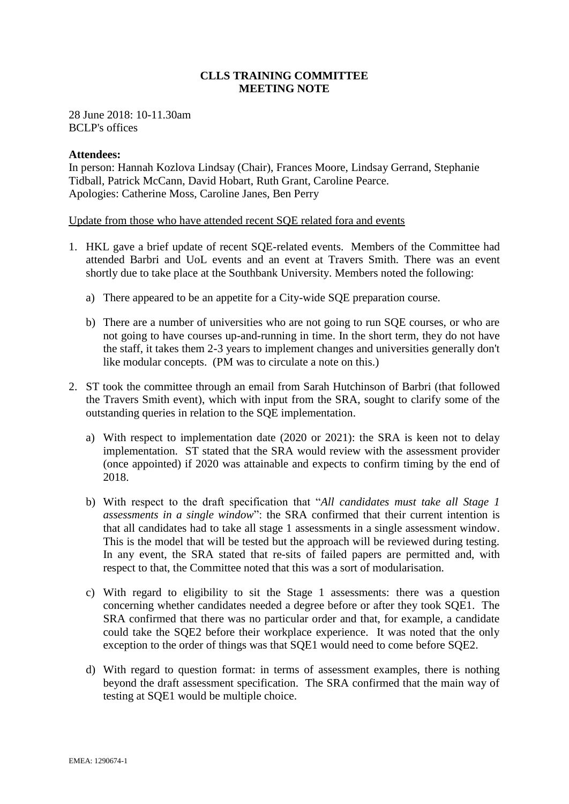# **CLLS TRAINING COMMITTEE MEETING NOTE**

28 June 2018: 10-11.30am BCLP's offices

## **Attendees:**

In person: Hannah Kozlova Lindsay (Chair), Frances Moore, Lindsay Gerrand, Stephanie Tidball, Patrick McCann, David Hobart, Ruth Grant, Caroline Pearce. Apologies: Catherine Moss, Caroline Janes, Ben Perry

Update from those who have attended recent SQE related fora and events

- 1. HKL gave a brief update of recent SQE-related events. Members of the Committee had attended Barbri and UoL events and an event at Travers Smith. There was an event shortly due to take place at the Southbank University. Members noted the following:
	- a) There appeared to be an appetite for a City-wide SQE preparation course.
	- b) There are a number of universities who are not going to run SQE courses, or who are not going to have courses up-and-running in time. In the short term, they do not have the staff, it takes them 2-3 years to implement changes and universities generally don't like modular concepts. (PM was to circulate a note on this.)
- 2. ST took the committee through an email from Sarah Hutchinson of Barbri (that followed the Travers Smith event), which with input from the SRA, sought to clarify some of the outstanding queries in relation to the SQE implementation.
	- a) With respect to implementation date (2020 or 2021): the SRA is keen not to delay implementation. ST stated that the SRA would review with the assessment provider (once appointed) if 2020 was attainable and expects to confirm timing by the end of 2018.
	- b) With respect to the draft specification that "*All candidates must take all Stage 1 assessments in a single window*": the SRA confirmed that their current intention is that all candidates had to take all stage 1 assessments in a single assessment window. This is the model that will be tested but the approach will be reviewed during testing. In any event, the SRA stated that re-sits of failed papers are permitted and, with respect to that, the Committee noted that this was a sort of modularisation.
	- c) With regard to eligibility to sit the Stage 1 assessments: there was a question concerning whether candidates needed a degree before or after they took SQE1. The SRA confirmed that there was no particular order and that, for example, a candidate could take the SQE2 before their workplace experience. It was noted that the only exception to the order of things was that SQE1 would need to come before SQE2.
	- d) With regard to question format: in terms of assessment examples, there is nothing beyond the draft assessment specification. The SRA confirmed that the main way of testing at SQE1 would be multiple choice.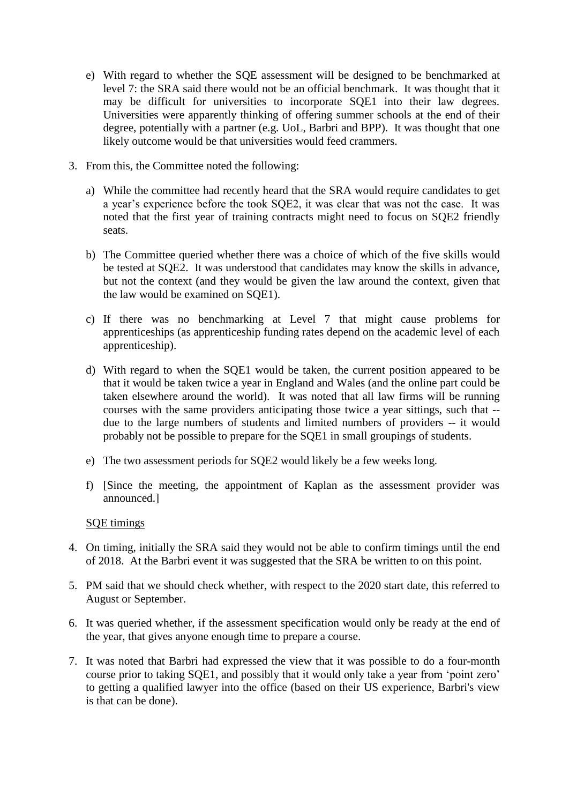- e) With regard to whether the SQE assessment will be designed to be benchmarked at level 7: the SRA said there would not be an official benchmark. It was thought that it may be difficult for universities to incorporate SQE1 into their law degrees. Universities were apparently thinking of offering summer schools at the end of their degree, potentially with a partner (e.g. UoL, Barbri and BPP). It was thought that one likely outcome would be that universities would feed crammers.
- 3. From this, the Committee noted the following:
	- a) While the committee had recently heard that the SRA would require candidates to get a year's experience before the took SQE2, it was clear that was not the case. It was noted that the first year of training contracts might need to focus on SQE2 friendly seats.
	- b) The Committee queried whether there was a choice of which of the five skills would be tested at SQE2. It was understood that candidates may know the skills in advance, but not the context (and they would be given the law around the context, given that the law would be examined on SQE1).
	- c) If there was no benchmarking at Level 7 that might cause problems for apprenticeships (as apprenticeship funding rates depend on the academic level of each apprenticeship).
	- d) With regard to when the SQE1 would be taken, the current position appeared to be that it would be taken twice a year in England and Wales (and the online part could be taken elsewhere around the world). It was noted that all law firms will be running courses with the same providers anticipating those twice a year sittings, such that - due to the large numbers of students and limited numbers of providers -- it would probably not be possible to prepare for the SQE1 in small groupings of students.
	- e) The two assessment periods for SQE2 would likely be a few weeks long.
	- f) [Since the meeting, the appointment of Kaplan as the assessment provider was announced.]

# SQE timings

- 4. On timing, initially the SRA said they would not be able to confirm timings until the end of 2018. At the Barbri event it was suggested that the SRA be written to on this point.
- 5. PM said that we should check whether, with respect to the 2020 start date, this referred to August or September.
- 6. It was queried whether, if the assessment specification would only be ready at the end of the year, that gives anyone enough time to prepare a course.
- 7. It was noted that Barbri had expressed the view that it was possible to do a four-month course prior to taking SQE1, and possibly that it would only take a year from 'point zero' to getting a qualified lawyer into the office (based on their US experience, Barbri's view is that can be done).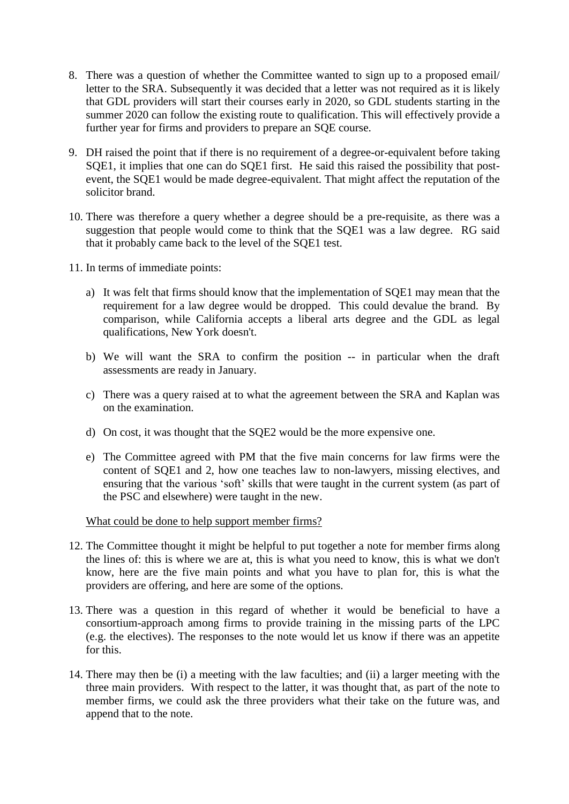- 8. There was a question of whether the Committee wanted to sign up to a proposed email/ letter to the SRA. Subsequently it was decided that a letter was not required as it is likely that GDL providers will start their courses early in 2020, so GDL students starting in the summer 2020 can follow the existing route to qualification. This will effectively provide a further year for firms and providers to prepare an SQE course.
- 9. DH raised the point that if there is no requirement of a degree-or-equivalent before taking SQE1, it implies that one can do SQE1 first. He said this raised the possibility that postevent, the SQE1 would be made degree-equivalent. That might affect the reputation of the solicitor brand.
- 10. There was therefore a query whether a degree should be a pre-requisite, as there was a suggestion that people would come to think that the SQE1 was a law degree. RG said that it probably came back to the level of the SQE1 test.
- 11. In terms of immediate points:
	- a) It was felt that firms should know that the implementation of SQE1 may mean that the requirement for a law degree would be dropped. This could devalue the brand. By comparison, while California accepts a liberal arts degree and the GDL as legal qualifications, New York doesn't.
	- b) We will want the SRA to confirm the position -- in particular when the draft assessments are ready in January.
	- c) There was a query raised at to what the agreement between the SRA and Kaplan was on the examination.
	- d) On cost, it was thought that the SQE2 would be the more expensive one.
	- e) The Committee agreed with PM that the five main concerns for law firms were the content of SQE1 and 2, how one teaches law to non-lawyers, missing electives, and ensuring that the various 'soft' skills that were taught in the current system (as part of the PSC and elsewhere) were taught in the new.

What could be done to help support member firms?

- 12. The Committee thought it might be helpful to put together a note for member firms along the lines of: this is where we are at, this is what you need to know, this is what we don't know, here are the five main points and what you have to plan for, this is what the providers are offering, and here are some of the options.
- 13. There was a question in this regard of whether it would be beneficial to have a consortium-approach among firms to provide training in the missing parts of the LPC (e.g. the electives). The responses to the note would let us know if there was an appetite for this.
- 14. There may then be (i) a meeting with the law faculties; and (ii) a larger meeting with the three main providers. With respect to the latter, it was thought that, as part of the note to member firms, we could ask the three providers what their take on the future was, and append that to the note.